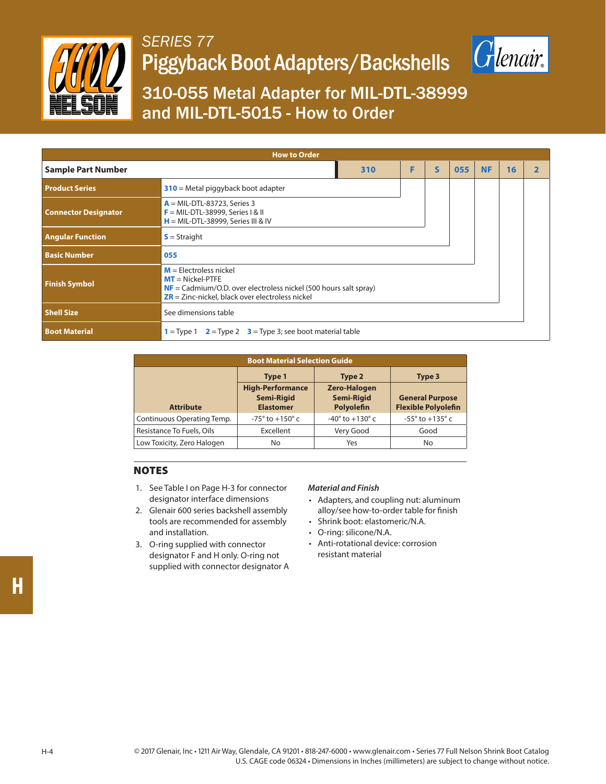

## *SERIES 77* Piggyback Boot Adapters/Backshells



### 310-055 Metal Adapter for MIL-DTL-38999 and MIL-DTL-5015 - How to Order

| <b>How to Order</b>         |                                                                                                                                                                                            |     |   |              |     |           |    |  |  |
|-----------------------------|--------------------------------------------------------------------------------------------------------------------------------------------------------------------------------------------|-----|---|--------------|-----|-----------|----|--|--|
| <b>Sample Part Number</b>   |                                                                                                                                                                                            | 310 | F | $\mathsf{s}$ | 055 | <b>NF</b> | 16 |  |  |
| <b>Product Series</b>       | $310$ = Metal piggyback boot adapter                                                                                                                                                       |     |   |              |     |           |    |  |  |
| <b>Connector Designator</b> | $A = MIL-DTL-83723$ , Series 3<br>$F = MIL-DTL-38999$ , Series I & II<br>$H = MIL-DTL-38999$ , Series III & IV                                                                             |     |   |              |     |           |    |  |  |
| <b>Angular Function</b>     | $S =$ Straight                                                                                                                                                                             |     |   |              |     |           |    |  |  |
| <b>Basic Number</b>         | 055                                                                                                                                                                                        |     |   |              |     |           |    |  |  |
| <b>Finish Symbol</b>        | $M =$ Electroless nickel<br>$MT = Nickel-PTFE$<br>$NF = \text{Cadmium/O.D. over electrodes nickel}$ (500 hours salt spray)<br>$\overline{ZR}$ = Zinc-nickel, black over electroless nickel |     |   |              |     |           |    |  |  |
| <b>Shell Size</b>           | See dimensions table                                                                                                                                                                       |     |   |              |     |           |    |  |  |
| <b>Boot Material</b>        | $1 =$ Type 1 $2 =$ Type 2 $3 =$ Type 3; see boot material table                                                                                                                            |     |   |              |     |           |    |  |  |

| <b>Boot Material Selection Guide</b> |                                                                  |                                                        |                                                      |  |  |  |  |  |
|--------------------------------------|------------------------------------------------------------------|--------------------------------------------------------|------------------------------------------------------|--|--|--|--|--|
|                                      | Type 1                                                           | Type 2                                                 | Type 3                                               |  |  |  |  |  |
| <b>Attribute</b>                     | <b>High-Performance</b><br><b>Semi-Rigid</b><br><b>Elastomer</b> | <b>Zero-Halogen</b><br><b>Semi-Rigid</b><br>Polyolefin | <b>General Purpose</b><br><b>Flexible Polyolefin</b> |  |  |  |  |  |
| Continuous Operating Temp.           | $-75^{\circ}$ to $+150^{\circ}$ c                                | $-40^{\circ}$ to $+130^{\circ}$ c                      | $-55^\circ$ to $+135^\circ$ c                        |  |  |  |  |  |
| Resistance To Fuels, Oils            | Excellent                                                        | Very Good                                              | Good                                                 |  |  |  |  |  |
| Low Toxicity, Zero Halogen           | No                                                               | Yes                                                    | No                                                   |  |  |  |  |  |

### NOTES

- 1. See Table I on Page H-3 for connector designator interface dimensions
- 2. Glenair 600 series backshell assembly tools are recommended for assembly and installation.
- 3. O-ring supplied with connector designator F and H only. O-ring not supplied with connector designator A

#### *Material and Finish*

- Adapters, and coupling nut: aluminum alloy/see how-to-order table for finish
- Shrink boot: elastomeric/N.A.
- O-ring: silicone/N.A.
- Anti-rotational device: corrosion resistant material